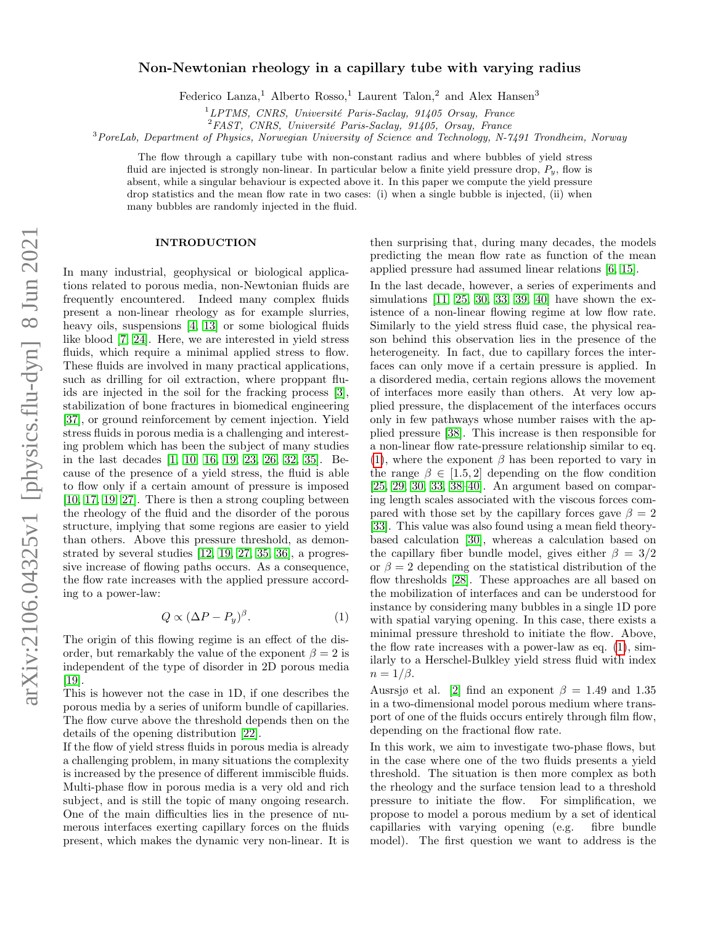# Non-Newtonian rheology in a capillary tube with varying radius

Federico Lanza,<sup>1</sup> Alberto Rosso,<sup>1</sup> Laurent Talon,<sup>2</sup> and Alex Hansen<sup>3</sup>

 ${}^{1}LPTMS$ , CNRS, Université Paris-Saclay, 91405 Orsay, France

 ${}^{2}FAST$ , CNRS, Université Paris-Saclay, 91405, Orsay, France

 $3PoreLab$ , Department of Physics, Norwegian University of Science and Technology, N-7491 Trondheim, Norway

The flow through a capillary tube with non-constant radius and where bubbles of yield stress fluid are injected is strongly non-linear. In particular below a finite yield pressure drop,  $P_y$ , flow is absent, while a singular behaviour is expected above it. In this paper we compute the yield pressure drop statistics and the mean flow rate in two cases: (i) when a single bubble is injected, (ii) when many bubbles are randomly injected in the fluid.

### INTRODUCTION

In many industrial, geophysical or biological applications related to porous media, non-Newtonian fluids are frequently encountered. Indeed many complex fluids present a non-linear rheology as for example slurries, heavy oils, suspensions [\[4,](#page-8-0) [13\]](#page-8-1) or some biological fluids like blood [\[7,](#page-8-2) [24\]](#page-8-3). Here, we are interested in yield stress fluids, which require a minimal applied stress to flow. These fluids are involved in many practical applications, such as drilling for oil extraction, where proppant fluids are injected in the soil for the fracking process [\[3\]](#page-8-4), stabilization of bone fractures in biomedical engineering [\[37\]](#page-9-0), or ground reinforcement by cement injection. Yield stress fluids in porous media is a challenging and interesting problem which has been the subject of many studies in the last decades [\[1,](#page-8-5) [10,](#page-8-6) [16,](#page-8-7) [19,](#page-8-8) [23,](#page-8-9) [26,](#page-8-10) [32,](#page-9-1) [35\]](#page-9-2). Because of the presence of a yield stress, the fluid is able to flow only if a certain amount of pressure is imposed [\[10,](#page-8-6) [17,](#page-8-11) [19,](#page-8-8) [27\]](#page-8-12). There is then a strong coupling between the rheology of the fluid and the disorder of the porous structure, implying that some regions are easier to yield than others. Above this pressure threshold, as demonstrated by several studies [\[12,](#page-8-13) [19,](#page-8-8) [27,](#page-8-12) [35,](#page-9-2) [36\]](#page-9-3), a progressive increase of flowing paths occurs. As a consequence, the flow rate increases with the applied pressure according to a power-law:

<span id="page-0-0"></span>
$$
Q \propto (\Delta P - P_y)^{\beta}.
$$
 (1)

The origin of this flowing regime is an effect of the disorder, but remarkably the value of the exponent  $\beta = 2$  is independent of the type of disorder in 2D porous media [\[19\]](#page-8-8).

This is however not the case in 1D, if one describes the porous media by a series of uniform bundle of capillaries. The flow curve above the threshold depends then on the details of the opening distribution [\[22\]](#page-8-14).

If the flow of yield stress fluids in porous media is already a challenging problem, in many situations the complexity is increased by the presence of different immiscible fluids. Multi-phase flow in porous media is a very old and rich subject, and is still the topic of many ongoing research. One of the main difficulties lies in the presence of numerous interfaces exerting capillary forces on the fluids present, which makes the dynamic very non-linear. It is

then surprising that, during many decades, the models predicting the mean flow rate as function of the mean applied pressure had assumed linear relations [\[6,](#page-8-15) [15\]](#page-8-16).

In the last decade, however, a series of experiments and simulations [\[11,](#page-8-17) [25,](#page-8-18) [30,](#page-8-19) [33,](#page-9-4) [39,](#page-9-5) [40\]](#page-9-6) have shown the existence of a non-linear flowing regime at low flow rate. Similarly to the yield stress fluid case, the physical reason behind this observation lies in the presence of the heterogeneity. In fact, due to capillary forces the interfaces can only move if a certain pressure is applied. In a disordered media, certain regions allows the movement of interfaces more easily than others. At very low applied pressure, the displacement of the interfaces occurs only in few pathways whose number raises with the applied pressure [\[38\]](#page-9-7). This increase is then responsible for a non-linear flow rate-pressure relationship similar to eq. [\(1\)](#page-0-0), where the exponent  $\beta$  has been reported to vary in the range  $\beta \in [1.5, 2]$  depending on the flow condition [\[25,](#page-8-18) [29,](#page-8-20) [30,](#page-8-19) [33,](#page-9-4) [38–](#page-9-7)[40\]](#page-9-6). An argument based on comparing length scales associated with the viscous forces compared with those set by the capillary forces gave  $\beta = 2$ [\[33\]](#page-9-4). This value was also found using a mean field theorybased calculation [\[30\]](#page-8-19), whereas a calculation based on the capillary fiber bundle model, gives either  $\beta = 3/2$ or  $\beta = 2$  depending on the statistical distribution of the flow thresholds [\[28\]](#page-8-21). These approaches are all based on the mobilization of interfaces and can be understood for instance by considering many bubbles in a single 1D pore with spatial varying opening. In this case, there exists a minimal pressure threshold to initiate the flow. Above, the flow rate increases with a power-law as eq. [\(1\)](#page-0-0), similarly to a Herschel-Bulkley yield stress fluid with index  $n = 1/\beta$ .

Ausrsjø et al. [\[2\]](#page-8-22) find an exponent  $\beta = 1.49$  and 1.35 in a two-dimensional model porous medium where transport of one of the fluids occurs entirely through film flow, depending on the fractional flow rate.

In this work, we aim to investigate two-phase flows, but in the case where one of the two fluids presents a yield threshold. The situation is then more complex as both the rheology and the surface tension lead to a threshold pressure to initiate the flow. For simplification, we propose to model a porous medium by a set of identical capillaries with varying opening (e.g. fibre bundle model). The first question we want to address is the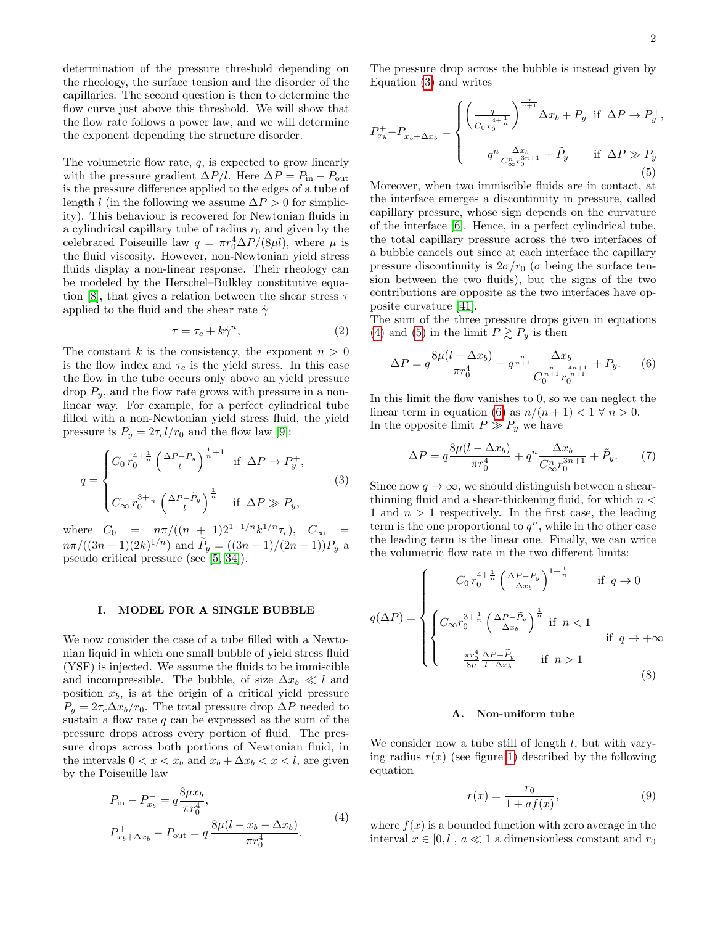determination of the pressure threshold depending on the rheology, the surface tension and the disorder of the capillaries. The second question is then to determine the flow curve just above this threshold. We will show that the flow rate follows a power law, and we will determine the exponent depending the structure disorder.

The volumetric flow rate, q, is expected to grow linearly with the pressure gradient  $\Delta P/l$ . Here  $\Delta P = P_{\text{in}} - P_{\text{out}}$ is the pressure difference applied to the edges of a tube of length l (in the following we assume  $\Delta P > 0$  for simplicity). This behaviour is recovered for Newtonian fluids in a cylindrical capillary tube of radius  $r_0$  and given by the celebrated Poiseuille law  $q = \pi r_0^4 \Delta P/(8 \mu l)$ , where  $\mu$  is the fluid viscosity. However, non-Newtonian yield stress fluids display a non-linear response. Their rheology can be modeled by the Herschel–Bulkley constitutive equa-tion [\[8\]](#page-8-23), that gives a relation between the shear stress  $\tau$ applied to the fluid and the shear rate  $\dot{\gamma}$ 

$$
\tau = \tau_c + k\dot{\gamma}^n,\tag{2}
$$

The constant k is the consistency, the exponent  $n > 0$ is the flow index and  $\tau_c$  is the yield stress. In this case the flow in the tube occurs only above an yield pressure drop  $P_y$ , and the flow rate grows with pressure in a nonlinear way. For example, for a perfect cylindrical tube filled with a non-Newtonian yield stress fluid, the yield pressure is  $P_y = 2\tau_c l/r_0$  and the flow law [\[9\]](#page-8-24):

<span id="page-1-0"></span>
$$
q = \begin{cases} C_0 r_0^{4 + \frac{1}{n}} \left( \frac{\Delta P - P_y}{l} \right)^{\frac{1}{n} + 1} & \text{if } \Delta P \to P_y^+, \\ \\ C_{\infty} r_0^{3 + \frac{1}{n}} \left( \frac{\Delta P - \tilde{P}_y}{l} \right)^{\frac{1}{n}} & \text{if } \Delta P \gg P_y, \end{cases}
$$
(3)

where  $C_0 = n\pi/((n+1)2^{1+1/n}k^{1/n}\tau_c), C_{\infty}$  $n\pi/((3n+1)(2k)^{1/n})$  and  $\widetilde{P}_y = ((3n+1)/(2n+1))P_y$  a pseudo critical pressure (see [\[5,](#page-8-25) [34\]](#page-9-8)).

### I. MODEL FOR A SINGLE BUBBLE

We now consider the case of a tube filled with a Newtonian liquid in which one small bubble of yield stress fluid (YSF) is injected. We assume the fluids to be immiscible and incompressible. The bubble, of size  $\Delta x_b \ll l$  and position  $x_b$ , is at the origin of a critical yield pressure  $P_y = 2\tau_c\Delta x_b/r_0$ . The total pressure drop  $\Delta P$  needed to sustain a flow rate  $q$  can be expressed as the sum of the pressure drops across every portion of fluid. The pressure drops across both portions of Newtonian fluid, in the intervals  $0 < x < x_b$  and  $x_b + \Delta x_b < x < l$ , are given by the Poiseuille law

<span id="page-1-1"></span>
$$
P_{\text{in}} - P_{x_b}^- = q \frac{8\mu x_b}{\pi r_0^4},
$$
  
\n
$$
P_{x_b + \Delta x_b}^+ - P_{\text{out}} = q \frac{8\mu (l - x_b - \Delta x_b)}{\pi r_0^4}.
$$
 (4)

The pressure drop across the bubble is instead given by Equation [\(3\)](#page-1-0) and writes

<span id="page-1-2"></span>
$$
P_{x_b}^+ - P_{x_b + \Delta x_b}^- = \begin{cases} \left(\frac{q}{C_0 r_0^{4 + \frac{1}{n}}}\right)^{\frac{n}{n+1}} \Delta x_b + P_y & \text{if } \Delta P \to P_y^+, \\ q^n \frac{\Delta x_b}{C_\infty^n r_0^{3n+1}} + \tilde{P}_y & \text{if } \Delta P \gg P_y \end{cases}
$$
(5)

Moreover, when two immiscible fluids are in contact, at the interface emerges a discontinuity in pressure, called capillary pressure, whose sign depends on the curvature of the interface [\[6\]](#page-8-15). Hence, in a perfect cylindrical tube, the total capillary pressure across the two interfaces of a bubble cancels out since at each interface the capillary pressure discontinuity is  $2\sigma/r_0$  ( $\sigma$  being the surface tension between the two fluids), but the signs of the two contributions are opposite as the two interfaces have opposite curvature [\[41\]](#page-9-9).

The sum of the three pressure drops given in equations [\(4\)](#page-1-1) and [\(5\)](#page-1-2) in the limit  $P \gtrsim P_y$  is then

<span id="page-1-3"></span>
$$
\Delta P = q \frac{8\mu (l - \Delta x_b)}{\pi r_0^4} + q^{\frac{n}{n+1}} \frac{\Delta x_b}{C_0^{\frac{n}{n+1}} r_0^{\frac{4n+1}{n+1}}} + P_y. \tag{6}
$$

In this limit the flow vanishes to 0, so we can neglect the linear term in equation [\(6\)](#page-1-3) as  $n/(n+1) < 1 \forall n > 0$ . In the opposite limit  $P \gg P_y$  we have

$$
\Delta P = q \frac{8\mu (l - \Delta x_b)}{\pi r_0^4} + q^n \frac{\Delta x_b}{C_{\infty}^n r_0^{3n+1}} + \tilde{P}_y. \tag{7}
$$

Since now  $q \to \infty$ , we should distinguish between a shearthinning fluid and a shear-thickening fluid, for which  $n <$ 1 and  $n > 1$  respectively. In the first case, the leading term is the one proportional to  $q^n$ , while in the other case the leading term is the linear one. Finally, we can write the volumetric flow rate in the two different limits:

<span id="page-1-4"></span>
$$
q(\Delta P) = \begin{cases} C_0 r_0^{4 + \frac{1}{n}} \left( \frac{\Delta P - P_y}{\Delta x_b} \right)^{1 + \frac{1}{n}} & \text{if } q \to 0\\ C_\infty r_0^{3 + \frac{1}{n}} \left( \frac{\Delta P - \tilde{P}_y}{\Delta x_b} \right)^{\frac{1}{n}} & \text{if } n < 1\\ \frac{\pi r_0^4}{8\mu} \frac{\Delta P - \tilde{P}_y}{l - \Delta x_b} & \text{if } n > 1 \end{cases} \tag{8}
$$

#### A. Non-uniform tube

We consider now a tube still of length  $l$ , but with varying radius  $r(x)$  (see figure [1\)](#page-2-0) described by the following equation

$$
r(x) = \frac{r_0}{1 + af(x)},\tag{9}
$$

where  $f(x)$  is a bounded function with zero average in the interval  $x \in [0, l]$ ,  $a \ll 1$  a dimensionless constant and  $r_0$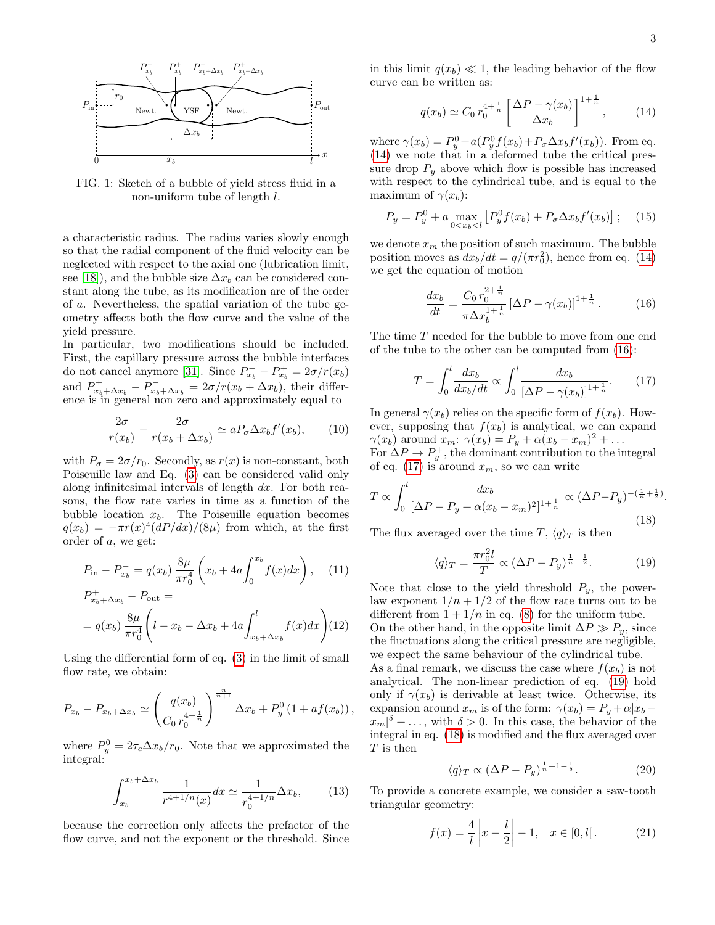<span id="page-2-0"></span>

FIG. 1: Sketch of a bubble of yield stress fluid in a non-uniform tube of length l.

a characteristic radius. The radius varies slowly enough so that the radial component of the fluid velocity can be neglected with respect to the axial one (lubrication limit, see [\[18\]](#page-8-26)), and the bubble size  $\Delta x_b$  can be considered constant along the tube, as its modification are of the order of a. Nevertheless, the spatial variation of the tube geometry affects both the flow curve and the value of the yield pressure.

In particular, two modifications should be included. First, the capillary pressure across the bubble interfaces do not cancel anymore [\[31\]](#page-9-10). Since  $P_{x_b}^- - P_{x_b}^+ = 2\sigma/r(x_b)$ and  $P_{x_b+\Delta x_b}^+ - P_{x_b+\Delta x_b}^- = 2\sigma/r(x_b+\Delta x_b)$ , their difference is in general non zero and approximately equal to

$$
\frac{2\sigma}{r(x_b)} - \frac{2\sigma}{r(x_b + \Delta x_b)} \simeq aP_\sigma \Delta x_b f'(x_b),\qquad(10)
$$

with  $P_{\sigma} = 2\sigma/r_0$ . Secondly, as  $r(x)$  is non-constant, both Poiseuille law and Eq. [\(3\)](#page-1-0) can be considered valid only along infinitesimal intervals of length dx. For both reasons, the flow rate varies in time as a function of the bubble location  $x_b$ . The Poiseuille equation becomes  $q(x_b) = -\pi r(x)^4 (dP/dx)/(8\mu)$  from which, at the first order of a, we get:

$$
P_{\text{in}} - P_{x_b}^- = q(x_b) \frac{8\mu}{\pi r_0^4} \left( x_b + 4a \int_0^{x_b} f(x) dx \right), \quad (11)
$$

$$
P_{x_b + \Delta x_b}^+ - P_{\text{out}} =
$$
  
=  $q(x_b) \frac{8\mu}{\pi r_0^4} \left( l - x_b - \Delta x_b + 4a \int_{x_b + \Delta x_b}^l f(x) dx \right)$  (12)

Using the differential form of eq. [\(3\)](#page-1-0) in the limit of small flow rate, we obtain:

$$
P_{x_b} - P_{x_b + \Delta x_b} \simeq \left(\frac{q(x_b)}{C_0 r_0^{4 + \frac{1}{n}}}\right)^{\frac{n}{n+1}} \Delta x_b + P_y^0 \left(1 + af(x_b)\right),
$$

where  $P_y^0 = 2\tau_c \Delta x_b/r_0$ . Note that we approximated the integral:

$$
\int_{x_b}^{x_b + \Delta x_b} \frac{1}{r^{4+1/n}(x)} dx \simeq \frac{1}{r_0^{4+1/n}} \Delta x_b,
$$
 (13)

because the correction only affects the prefactor of the flow curve, and not the exponent or the threshold. Since in this limit  $q(x_b) \ll 1$ , the leading behavior of the flow curve can be written as:

<span id="page-2-1"></span>
$$
q(x_b) \simeq C_0 r_0^{4 + \frac{1}{n}} \left[ \frac{\Delta P - \gamma(x_b)}{\Delta x_b} \right]^{1 + \frac{1}{n}}, \quad (14)
$$

where  $\gamma(x_b) = P_y^0 + a(P_y^0 f(x_b) + P_\sigma \Delta x_b f'(x_b))$ . From eq. [\(14\)](#page-2-1) we note that in a deformed tube the critical pressure drop  $P_y$  above which flow is possible has increased with respect to the cylindrical tube, and is equal to the maximum of  $\gamma(x_b)$ :

$$
P_y = P_y^0 + a \max_{0 < x_b < l} \left[ P_y^0 f(x_b) + P_\sigma \Delta x_b f'(x_b) \right]; \tag{15}
$$

we denote  $x_m$  the position of such maximum. The bubble position moves as  $dx_b/dt = q/(\pi r_0^2)$ , hence from eq. [\(14\)](#page-2-1) we get the equation of motion

<span id="page-2-2"></span>
$$
\frac{dx_b}{dt} = \frac{C_0 r_0^{2 + \frac{1}{n}}}{\pi \Delta x_b^{1 + \frac{1}{n}}} \left[ \Delta P - \gamma(x_b) \right]^{1 + \frac{1}{n}}.\tag{16}
$$

The time T needed for the bubble to move from one end of the tube to the other can be computed from [\(16\)](#page-2-2):

<span id="page-2-3"></span>
$$
T = \int_0^l \frac{dx_b}{dx_b/dt} \propto \int_0^l \frac{dx_b}{\left[\Delta P - \gamma(x_b)\right]^{1 + \frac{1}{n}}}.\tag{17}
$$

In general  $\gamma(x_b)$  relies on the specific form of  $f(x_b)$ . However, supposing that  $f(x_b)$  is analytical, we can expand  $\gamma(x_b)$  around  $x_m$ :  $\gamma(x_b) = P_y + \alpha(x_b - x_m)^2 + \dots$ For  $\Delta P \rightarrow P_y^+$ , the dominant contribution to the integral of eq. [\(17\)](#page-2-3) is around  $x_m$ , so we can write

<span id="page-2-5"></span>
$$
T \propto \int_0^l \frac{dx_b}{[\Delta P - P_y + \alpha(x_b - x_m)^2]^{1 + \frac{1}{n}}} \propto (\Delta P - P_y)^{-(\frac{1}{n} + \frac{1}{2})}.
$$
\n(18)

The flux averaged over the time T,  $\langle q \rangle_T$  is then

<span id="page-2-4"></span>
$$
\langle q \rangle_T = \frac{\pi r_0^2 l}{T} \propto (\Delta P - P_y)^{\frac{1}{n} + \frac{1}{2}}.
$$
 (19)

Note that close to the yield threshold  $P_y$ , the powerlaw exponent  $1/n + 1/2$  of the flow rate turns out to be different from  $1 + 1/n$  in eq. [\(8\)](#page-1-4) for the uniform tube. On the other hand, in the opposite limit  $\Delta P \gg P_y$ , since the fluctuations along the critical pressure are negligible, we expect the same behaviour of the cylindrical tube. As a final remark, we discuss the case where  $f(x_b)$  is not analytical. The non-linear prediction of eq. [\(19\)](#page-2-4) hold only if  $\gamma(x_b)$  is derivable at least twice. Otherwise, its expansion around  $x_m$  is of the form:  $\gamma(x_b) = P_y + \alpha |x_b - \rangle$  $x_m|^{\delta} + \ldots$ , with  $\delta > 0$ . In this case, the behavior of the integral in eq. [\(18\)](#page-2-5) is modified and the flux averaged over T is then

$$
\langle q \rangle_T \propto (\Delta P - P_y)^{\frac{1}{n} + 1 - \frac{1}{\delta}}.\tag{20}
$$

To provide a concrete example, we consider a saw-tooth triangular geometry:

<span id="page-2-6"></span>
$$
f(x) = \frac{4}{l} \left| x - \frac{l}{2} \right| - 1, \quad x \in [0, l]. \tag{21}
$$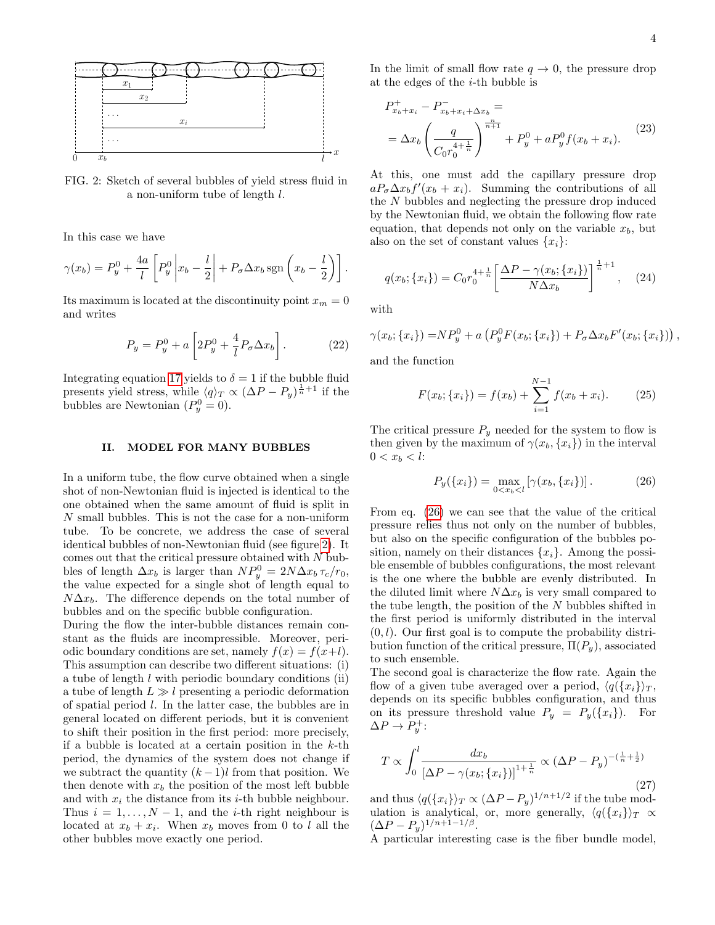<span id="page-3-0"></span>

FIG. 2: Sketch of several bubbles of yield stress fluid in a non-uniform tube of length l.

In this case we have

$$
\gamma(x_b) = P_y^0 + \frac{4a}{l} \left[ P_y^0 \left| x_b - \frac{l}{2} \right| + P_\sigma \Delta x_b \operatorname{sgn} \left( x_b - \frac{l}{2} \right) \right].
$$

Its maximum is located at the discontinuity point  $x_m = 0$ and writes

$$
P_y = P_y^0 + a \left[ 2P_y^0 + \frac{4}{l} P_\sigma \Delta x_b \right].
$$
 (22)

Integrating equation [17](#page-2-3) yields to  $\delta = 1$  if the bubble fluid presents yield stress, while  $\langle q \rangle_T \propto (\Delta P - P_y)^{\frac{1}{n}+1}$  if the bubbles are Newtonian  $(P_y^0 = 0)$ .

### II. MODEL FOR MANY BUBBLES

In a uniform tube, the flow curve obtained when a single shot of non-Newtonian fluid is injected is identical to the one obtained when the same amount of fluid is split in N small bubbles. This is not the case for a non-uniform tube. To be concrete, we address the case of several identical bubbles of non-Newtonian fluid (see figure [2\)](#page-3-0). It comes out that the critical pressure obtained with  $N$  bubbles of length  $\Delta x_b$  is larger than  $NP_y^0 = 2N\Delta x_b \tau_c/r_0$ , the value expected for a single shot of length equal to  $N\Delta x_b$ . The difference depends on the total number of bubbles and on the specific bubble configuration.

During the flow the inter-bubble distances remain constant as the fluids are incompressible. Moreover, periodic boundary conditions are set, namely  $f(x) = f(x+l)$ . This assumption can describe two different situations: (i) a tube of length  $l$  with periodic boundary conditions (ii) a tube of length  $L \gg l$  presenting a periodic deformation of spatial period l. In the latter case, the bubbles are in general located on different periods, but it is convenient to shift their position in the first period: more precisely, if a bubble is located at a certain position in the  $k$ -th period, the dynamics of the system does not change if we subtract the quantity  $(k-1)l$  from that position. We then denote with  $x<sub>b</sub>$  the position of the most left bubble and with  $x_i$  the distance from its *i*-th bubble neighbour. Thus  $i = 1, \ldots, N - 1$ , and the *i*-th right neighbour is located at  $x_b + x_i$ . When  $x_b$  moves from 0 to l all the other bubbles move exactly one period.

In the limit of small flow rate  $q \to 0$ , the pressure drop at the edges of the  $i$ -th bubble is

$$
P_{x_b+x_i}^+ - P_{x_b+x_i+\Delta x_b}^- =
$$
  
=  $\Delta x_b \left( \frac{q}{C_0 r_0^{4+\frac{1}{n}}} \right)^{\frac{n}{n+1}} + P_y^0 + a P_y^0 f(x_b + x_i).$  (23)

At this, one must add the capillary pressure drop  $aP_{\sigma}\Delta x_{b}f'(x_{b}+x_{i}).$  Summing the contributions of all the N bubbles and neglecting the pressure drop induced by the Newtonian fluid, we obtain the following flow rate equation, that depends not only on the variable  $x_b$ , but also on the set of constant values  $\{x_i\}$ :

$$
q(x_b; \{x_i\}) = C_0 r_0^{4 + \frac{1}{n}} \left[ \frac{\Delta P - \gamma(x_b; \{x_i\})}{N \Delta x_b} \right]^{\frac{1}{n} + 1}, \quad (24)
$$

with

$$
\gamma(x_b; \{x_i\}) = NP_y^0 + a\left(P_y^0 F(x_b; \{x_i\}) + P_\sigma \Delta x_b F'(x_b; \{x_i\})\right),
$$

and the function

$$
F(x_b; \{x_i\}) = f(x_b) + \sum_{i=1}^{N-1} f(x_b + x_i). \tag{25}
$$

The critical pressure  $P_y$  needed for the system to flow is then given by the maximum of  $\gamma(x_b, \{x_i\})$  in the interval  $0 < x_b < l$ :

<span id="page-3-1"></span>
$$
P_y(\{x_i\}) = \max_{0 < x_b < l} \left[ \gamma(x_b, \{x_i\}) \right]. \tag{26}
$$

From eq. [\(26\)](#page-3-1) we can see that the value of the critical pressure relies thus not only on the number of bubbles, but also on the specific configuration of the bubbles position, namely on their distances  $\{x_i\}$ . Among the possible ensemble of bubbles configurations, the most relevant is the one where the bubble are evenly distributed. In the diluted limit where  $N\Delta x_b$  is very small compared to the tube length, the position of the N bubbles shifted in the first period is uniformly distributed in the interval  $(0, l)$ . Our first goal is to compute the probability distribution function of the critical pressure,  $\Pi(P_u)$ , associated to such ensemble.

The second goal is characterize the flow rate. Again the flow of a given tube averaged over a period,  $\langle q(\{x_i\}\rangle_T,$ depends on its specific bubbles configuration, and thus on its pressure threshold value  $P_y = P_y(\{x_i\})$ . For  $\Delta P \to P_y^+$ :

$$
T \propto \int_0^l \frac{dx_b}{\left[\Delta P - \gamma(x_b; \{x_i\})\right]^{1 + \frac{1}{n}}} \propto (\Delta P - P_y)^{-(\frac{1}{n} + \frac{1}{2})} \tag{27}
$$

and thus  $\langle q(\lbrace x_i \rbrace \rangle_T \propto (\Delta P - P_y)^{1/n+1/2}$  if the tube modulation is analytical, or, more generally,  $\langle q(\{x_i\}\rangle_T \propto$  $(\Delta P - P_y)^{1/n+1-1/\beta}.$ 

A particular interesting case is the fiber bundle model,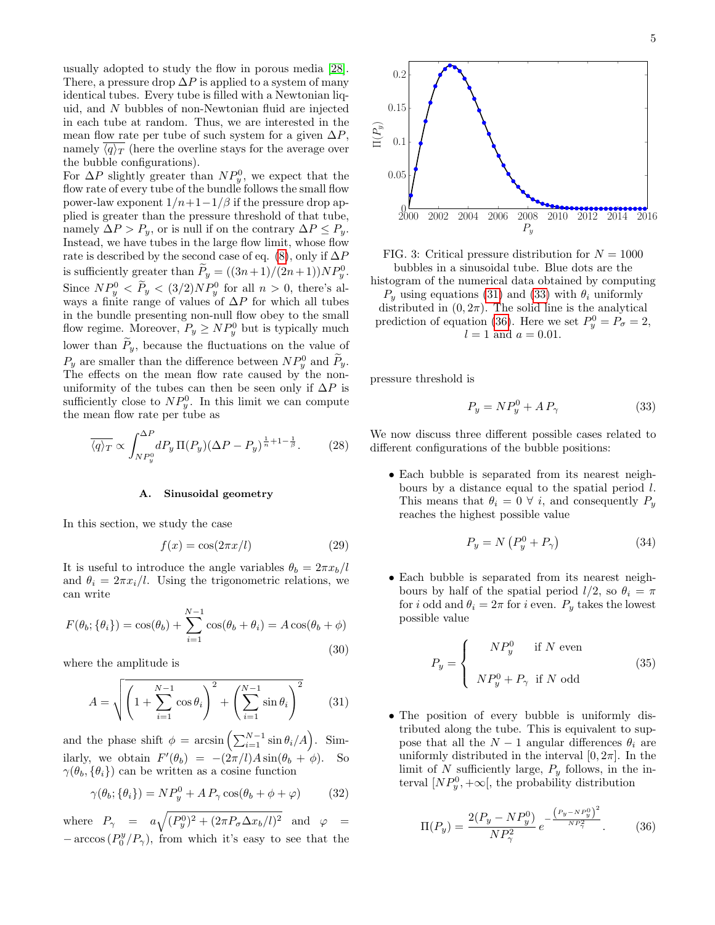usually adopted to study the flow in porous media [\[28\]](#page-8-21). There, a pressure drop  $\Delta P$  is applied to a system of many identical tubes. Every tube is filled with a Newtonian liquid, and N bubbles of non-Newtonian fluid are injected in each tube at random. Thus, we are interested in the mean flow rate per tube of such system for a given  $\Delta P$ , namely  $\langle q \rangle_T$  (here the overline stays for the average over the bubble configurations).

For  $\Delta P$  slightly greater than  $NP_y^0$ , we expect that the flow rate of every tube of the bundle follows the small flow power-law exponent  $1/n+1-1/\beta$  if the pressure drop applied is greater than the pressure threshold of that tube, namely  $\Delta P > P_y$ , or is null if on the contrary  $\Delta P \leq P_y$ . Instead, we have tubes in the large flow limit, whose flow rate is described by the second case of eq. [\(8\)](#page-1-4), only if  $\Delta P$ is sufficiently greater than  $\tilde{P}_y = ((3n+1)/(2n+1))NP_y^0$ . Since  $NP_y^0 < P_y < (3/2)NP_y^0$  for all  $n > 0$ , there's always a finite range of values of  $\Delta P$  for which all tubes in the bundle presenting non-null flow obey to the small flow regime. Moreover,  $P_y \geq NP_y^0$  but is typically much lower than  $P_y$ , because the fluctuations on the value of  $P_y$  are smaller than the difference between  $NP_y^0$  and  $P_y$ . The effects on the mean flow rate caused by the nonuniformity of the tubes can then be seen only if  $\Delta P$  is sufficiently close to  $NP_y^0$ . In this limit we can compute the mean flow rate per tube as

<span id="page-4-3"></span>
$$
\overline{\langle q \rangle_T} \propto \int_{NP_y^0}^{\Delta P} dP_y \, \Pi(P_y) (\Delta P - P_y)^{\frac{1}{n} + 1 - \frac{1}{\beta}}. \tag{28}
$$

### A. Sinusoidal geometry

In this section, we study the case

<span id="page-4-4"></span>
$$
f(x) = \cos(2\pi x/l) \tag{29}
$$

It is useful to introduce the angle variables  $\theta_b = 2\pi x_b/l$ and  $\theta_i = 2\pi x_i/l$ . Using the trigonometric relations, we can write

$$
F(\theta_b; \{\theta_i\}) = \cos(\theta_b) + \sum_{i=1}^{N-1} \cos(\theta_b + \theta_i) = A \cos(\theta_b + \phi)
$$
\n(30)

where the amplitude is

<span id="page-4-0"></span>
$$
A = \sqrt{\left(1 + \sum_{i=1}^{N-1} \cos \theta_i\right)^2 + \left(\sum_{i=1}^{N-1} \sin \theta_i\right)^2} \tag{31}
$$

and the phase shift  $\phi = \arcsin\left(\sum_{i=1}^{N-1} \sin \theta_i / A\right)$ . Similarly, we obtain  $F'(\theta_b) = -(2\pi/l)A \sin(\theta_b + \phi)$ . So  $\gamma(\theta_b, \{\theta_i\})$  can be written as a cosine function

$$
\gamma(\theta_b; \{\theta_i\}) = NP_y^0 + AP_\gamma \cos(\theta_b + \phi + \varphi) \tag{32}
$$

where  $P_{\gamma} = a \sqrt{(P_y^0)^2 + (2\pi P_{\sigma} \Delta x_b/l)^2}$  and  $\varphi =$  $-\arccos(P_0^y/P_\gamma)$ , from which it's easy to see that the



FIG. 3: Critical pressure distribution for  $N = 1000$ bubbles in a sinusoidal tube. Blue dots are the histogram of the numerical data obtained by computing  $P_y$  using equations [\(31\)](#page-4-0) and [\(33\)](#page-4-1) with  $\theta_i$  uniformly distributed in  $(0, 2\pi)$ . The solid line is the analytical prediction of equation [\(36\)](#page-4-2). Here we set  $P_y^0 = P_\sigma = 2$ ,  $l = 1$  and  $a = 0.01$ .

pressure threshold is

<span id="page-4-1"></span>
$$
P_y = NP_y^0 + AP_\gamma \tag{33}
$$

We now discuss three different possible cases related to different configurations of the bubble positions:

• Each bubble is separated from its nearest neighbours by a distance equal to the spatial period  $l$ . This means that  $\theta_i = 0 \ \forall i$ , and consequently  $P_y$ reaches the highest possible value

$$
P_y = N \left( P_y^0 + P_\gamma \right) \tag{34}
$$

• Each bubble is separated from its nearest neighbours by half of the spatial period  $l/2$ , so  $\theta_i = \pi$ for i odd and  $\theta_i = 2\pi$  for i even.  $P_y$  takes the lowest possible value

$$
P_y = \begin{cases} NP_y^0 & \text{if } N \text{ even} \\ N P_y^0 + P_\gamma & \text{if } N \text{ odd} \end{cases}
$$
 (35)

• The position of every bubble is uniformly distributed along the tube. This is equivalent to suppose that all the  $N-1$  angular differences  $\theta_i$  are uniformly distributed in the interval  $[0, 2\pi]$ . In the limit of N sufficiently large,  $P_y$  follows, in the interval  $[NP_y^0, +\infty]$ , the probability distribution

<span id="page-4-2"></span>
$$
\Pi(P_y) = \frac{2(P_y - NP_y^0)}{NP_\gamma^2} e^{-\frac{(P_y - NP_y^0)^2}{NP_\gamma^2}}.
$$
 (36)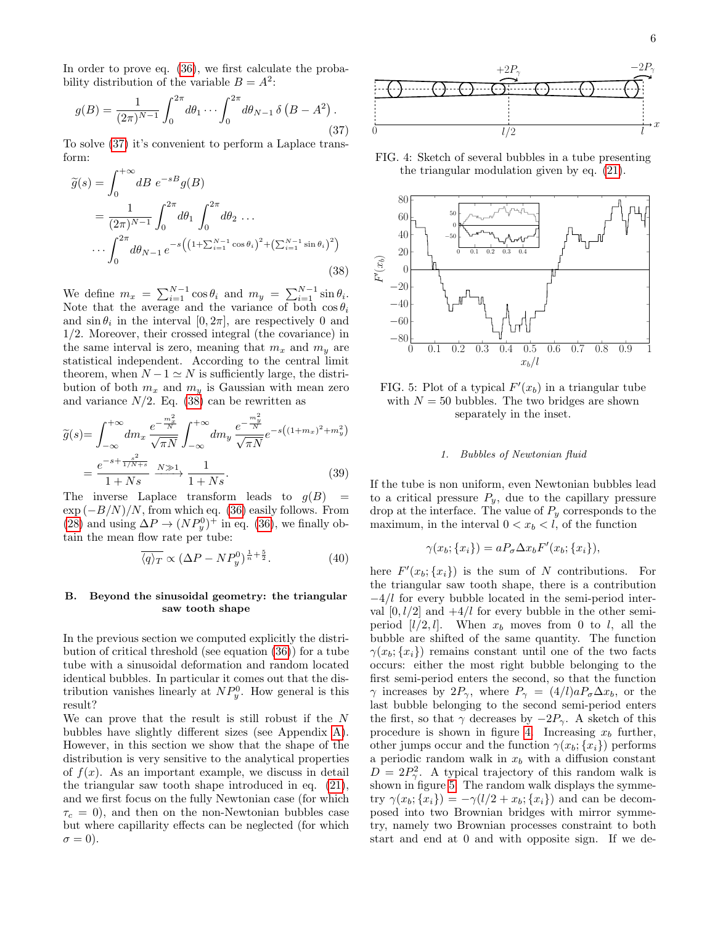In order to prove eq. [\(36\)](#page-4-2), we first calculate the probability distribution of the variable  $B = A^2$ :

<span id="page-5-0"></span>
$$
g(B) = \frac{1}{(2\pi)^{N-1}} \int_0^{2\pi} d\theta_1 \cdots \int_0^{2\pi} d\theta_{N-1} \,\delta\left(B - A^2\right). \tag{37}
$$

To solve [\(37\)](#page-5-0) it's convenient to perform a Laplace transform:

<span id="page-5-1"></span>
$$
\widetilde{g}(s) = \int_0^{+\infty} dB \ e^{-sB} g(B)
$$
  
= 
$$
\frac{1}{(2\pi)^{N-1}} \int_0^{2\pi} d\theta_1 \int_0^{2\pi} d\theta_2 \dots
$$
  

$$
\dots \int_0^{2\pi} d\theta_{N-1} e^{-s \left( \left( 1 + \sum_{i=1}^{N-1} \cos \theta_i \right)^2 + \left( \sum_{i=1}^{N-1} \sin \theta_i \right)^2 \right)}
$$
\n(38)

We define  $m_x = \sum_{i=1}^{N-1} \cos \theta_i$  and  $m_y = \sum_{i=1}^{N-1} \sin \theta_i$ . Note that the average and the variance of both  $\cos \theta_i$ and  $\sin \theta_i$  in the interval  $[0, 2\pi]$ , are respectively 0 and 1/2. Moreover, their crossed integral (the covariance) in the same interval is zero, meaning that  $m_x$  and  $m_y$  are statistical independent. According to the central limit theorem, when  $N - 1 \simeq N$  is sufficiently large, the distribution of both  $m_x$  and  $m_y$  is Gaussian with mean zero and variance  $N/2$ . Eq. [\(38\)](#page-5-1) can be rewritten as

$$
\widetilde{g}(s) = \int_{-\infty}^{+\infty} dm_x \frac{e^{-\frac{m_x^2}{N}}}{\sqrt{\pi N}} \int_{-\infty}^{+\infty} dm_y \frac{e^{-\frac{m_y^2}{N}}}{\sqrt{\pi N}} e^{-s\left((1+m_x)^2 + m_y^2\right)}
$$

$$
= \frac{e^{-s + \frac{s^2}{1/N+s}}}{1 + Ns} \frac{N \gg 1}{1 + Ns}.
$$
(39)

The inverse Laplace transform leads to  $g(B)$  =  $\exp(-B/N)/N$ , from which eq. [\(36\)](#page-4-2) easily follows. From [\(28\)](#page-4-3) and using  $\Delta P \to (NP_y^0)^+$  in eq. [\(36\)](#page-4-2), we finally obtain the mean flow rate per tube:

$$
\overline{\langle q \rangle_T} \propto (\Delta P - NP_y^0)^{\frac{1}{n} + \frac{5}{2}}.
$$
 (40)

### B. Beyond the sinusoidal geometry: the triangular saw tooth shape

In the previous section we computed explicitly the distribution of critical threshold (see equation [\(36\)](#page-4-2)) for a tube tube with a sinusoidal deformation and random located identical bubbles. In particular it comes out that the distribution vanishes linearly at  $NP_y^0$ . How general is this result?

We can prove that the result is still robust if the N bubbles have slightly different sizes (see Appendix [A\)](#page-10-0). However, in this section we show that the shape of the distribution is very sensitive to the analytical properties of  $f(x)$ . As an important example, we discuss in detail the triangular saw tooth shape introduced in eq. [\(21\)](#page-2-6), and we first focus on the fully Newtonian case (for which  $\tau_c = 0$ , and then on the non-Newtonian bubbles case but where capillarity effects can be neglected (for which  $\sigma = 0$ ).

<span id="page-5-2"></span>

FIG. 4: Sketch of several bubbles in a tube presenting the triangular modulation given by eq. [\(21\)](#page-2-6).

<span id="page-5-3"></span>



#### 1. Bubbles of Newtonian fluid

If the tube is non uniform, even Newtonian bubbles lead to a critical pressure  $P_y$ , due to the capillary pressure drop at the interface. The value of  $P_y$  corresponds to the maximum, in the interval  $0 < x_b < l$ , of the function

$$
\gamma(x_b; \{x_i\}) = aP_{\sigma} \Delta x_b F'(x_b; \{x_i\}),
$$

here  $F'(x_b; \{x_i\})$  is the sum of N contributions. For the triangular saw tooth shape, there is a contribution −4/l for every bubble located in the semi-period interval  $[0, l/2]$  and  $+4/l$  for every bubble in the other semiperiod  $[l/2, l]$ . When  $x_b$  moves from 0 to l, all the bubble are shifted of the same quantity. The function  $\gamma(x_b; \{x_i\})$  remains constant until one of the two facts occurs: either the most right bubble belonging to the first semi-period enters the second, so that the function  $\gamma$  increases by  $2P_{\gamma}$ , where  $P_{\gamma} = (4/l)aP_{\sigma}\Delta x_b$ , or the last bubble belonging to the second semi-period enters the first, so that  $\gamma$  decreases by  $-2P_{\gamma}$ . A sketch of this procedure is shown in figure [4.](#page-5-2) Increasing  $x_b$  further, other jumps occur and the function  $\gamma(x_b; \{x_i\})$  performs a periodic random walk in  $x<sub>b</sub>$  with a diffusion constant  $D = 2P_{\gamma}^2$ . A typical trajectory of this random walk is shown in figure [5.](#page-5-3) The random walk displays the symmetry  $\gamma(x_b; \{x_i\}) = -\gamma(l/2 + x_b; \{x_i\})$  and can be decomposed into two Brownian bridges with mirror symmetry, namely two Brownian processes constraint to both start and end at 0 and with opposite sign. If we de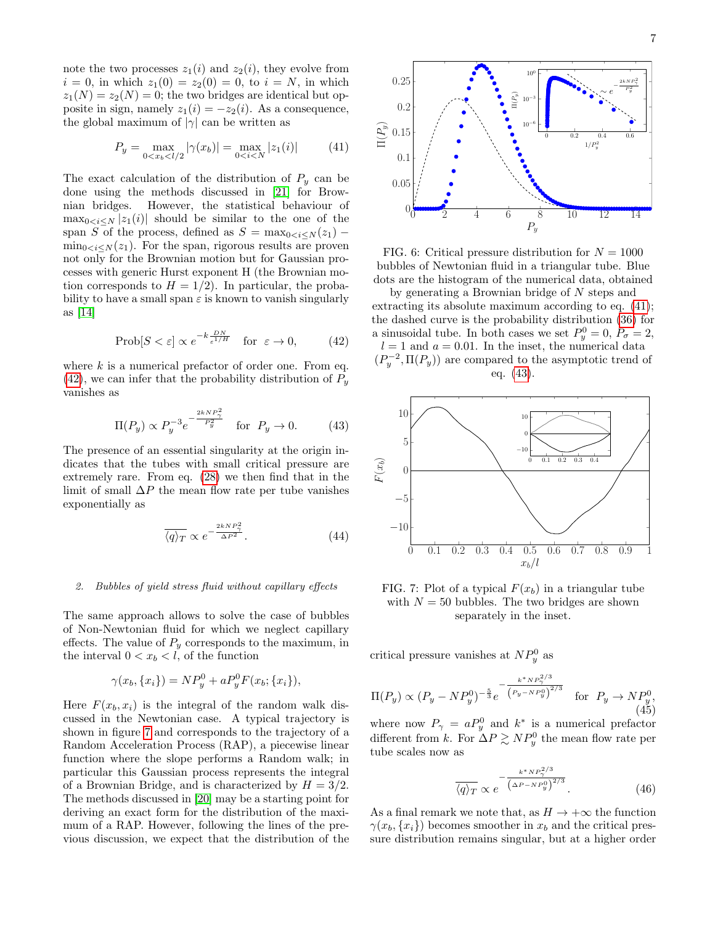note the two processes  $z_1(i)$  and  $z_2(i)$ , they evolve from  $i = 0$ , in which  $z_1(0) = z_2(0) = 0$ , to  $i = N$ , in which  $z_1(N) = z_2(N) = 0$ ; the two bridges are identical but opposite in sign, namely  $z_1(i) = -z_2(i)$ . As a consequence, the global maximum of  $|\gamma|$  can be written as

<span id="page-6-2"></span>
$$
P_y = \max_{0 < x_b < l/2} |\gamma(x_b)| = \max_{0 < i < N} |z_1(i)| \tag{41}
$$

The exact calculation of the distribution of  $P_y$  can be done using the methods discussed in [\[21\]](#page-8-27) for Brownian bridges. However, the statistical behaviour of  $\max_{0 \le i \le N} |z_1(i)|$  should be similar to the one of the span S of the process, defined as  $S = \max_{0 \le i \le N} (z_1)$  –  $\min_{0 \leq i \leq N} (z_1)$ . For the span, rigorous results are proven not only for the Brownian motion but for Gaussian processes with generic Hurst exponent H (the Brownian motion corresponds to  $H = 1/2$ . In particular, the probability to have a small span  $\varepsilon$  is known to vanish singularly as [\[14\]](#page-8-28)

<span id="page-6-0"></span>
$$
\text{Prob}[S < \varepsilon] \propto e^{-k\frac{DN}{\varepsilon^{1/H}}} \quad \text{for } \varepsilon \to 0,\tag{42}
$$

where  $k$  is a numerical prefactor of order one. From eq.  $(42)$ , we can infer that the probability distribution of  $P_y$ vanishes as

<span id="page-6-3"></span>
$$
\Pi(P_y) \propto P_y^{-3} e^{-\frac{2kNP_\gamma^2}{P_y^2}} \quad \text{for} \ \ P_y \to 0. \tag{43}
$$

The presence of an essential singularity at the origin indicates that the tubes with small critical pressure are extremely rare. From eq. [\(28\)](#page-4-3) we then find that in the limit of small  $\Delta P$  the mean flow rate per tube vanishes exponentially as

$$
\overline{\langle q \rangle_T} \propto e^{-\frac{2kNP_\gamma^2}{\Delta P^2}}.\tag{44}
$$

### 2. Bubbles of yield stress fluid without capillary effects

The same approach allows to solve the case of bubbles of Non-Newtonian fluid for which we neglect capillary effects. The value of  $P_y$  corresponds to the maximum, in the interval  $0 < x_b < l$ , of the function

$$
\gamma(x_b, \{x_i\}) = NP_y^0 + aP_y^0 F(x_b; \{x_i\}),
$$

Here  $F(x_b, x_i)$  is the integral of the random walk discussed in the Newtonian case. A typical trajectory is shown in figure [7](#page-6-1) and corresponds to the trajectory of a Random Acceleration Process (RAP), a piecewise linear function where the slope performs a Random walk; in particular this Gaussian process represents the integral of a Brownian Bridge, and is characterized by  $H = 3/2$ . The methods discussed in [\[20\]](#page-8-29) may be a starting point for deriving an exact form for the distribution of the maximum of a RAP. However, following the lines of the previous discussion, we expect that the distribution of the



FIG. 6: Critical pressure distribution for  $N = 1000$ bubbles of Newtonian fluid in a triangular tube. Blue dots are the histogram of the numerical data, obtained

by generating a Brownian bridge of N steps and extracting its absolute maximum according to eq. [\(41\)](#page-6-2); the dashed curve is the probability distribution [\(36\)](#page-4-2) for a sinusoidal tube. In both cases we set  $P_y^0 = 0$ ,  $P_\sigma = 2$ ,  $l = 1$  and  $a = 0.01$ . In the inset, the numerical data  $(P_y^{-2}, \Pi(P_y))$  are compared to the asymptotic trend of eq. [\(43\)](#page-6-3).

<span id="page-6-1"></span>

FIG. 7: Plot of a typical  $F(x_b)$  in a triangular tube with  $N = 50$  bubbles. The two bridges are shown separately in the inset.

critical pressure vanishes at  $NP_y^0$  as

<span id="page-6-4"></span>
$$
\Pi(P_y) \propto (P_y - NP_y^0)^{-\frac{5}{3}} e^{-\frac{k^* NP_y^{2/3}}{(P_y - NP_y^0)^{2/3}}}
$$
 for  $P_y \to NP_y^0$ , (45)

where now  $P_{\gamma} = aP_y^0$  and  $k^*$  is a numerical prefactor different from k. For  $\Delta P \gtrsim N P_y^0$  the mean flow rate per tube scales now as

$$
\frac{-\frac{k^* N P_\gamma^{2/3}}{\left(\Delta P - N P_y^0\right)^{2/3}}}{\left(46\right)}\tag{46}
$$

As a final remark we note that, as  $H \to +\infty$  the function  $\gamma(x_b, \{x_i\})$  becomes smoother in  $x_b$  and the critical pressure distribution remains singular, but at a higher order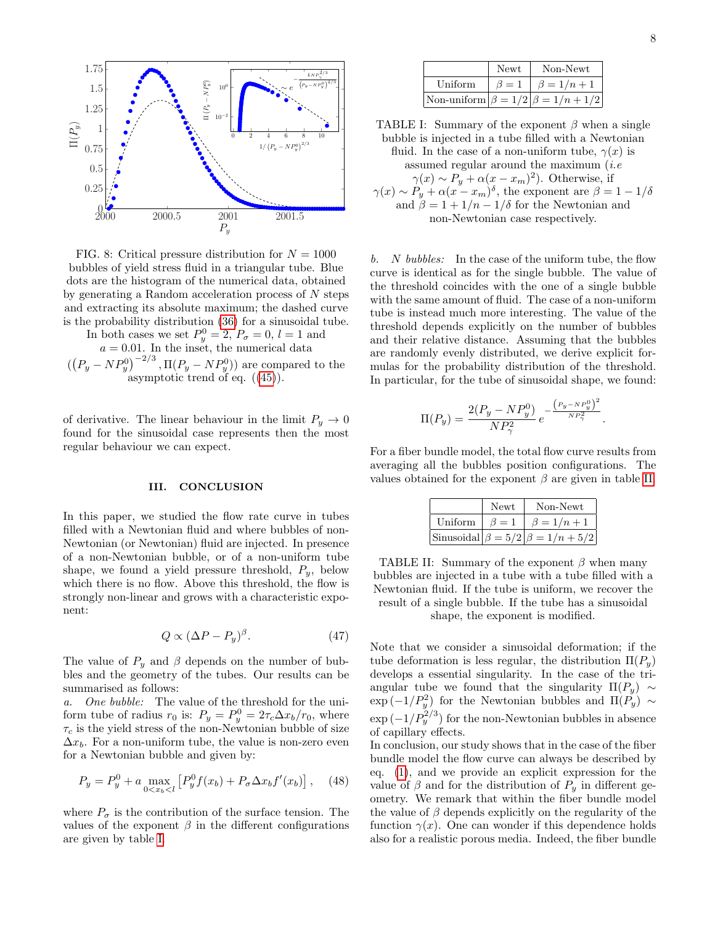

FIG. 8: Critical pressure distribution for  $N = 1000$ bubbles of yield stress fluid in a triangular tube. Blue dots are the histogram of the numerical data, obtained by generating a Random acceleration process of  $N$  steps and extracting its absolute maximum; the dashed curve is the probability distribution [\(36\)](#page-4-2) for a sinusoidal tube.

In both cases we set  $P_y^0 = 2$ ,  $P_\sigma = 0$ ,  $l = 1$  and  $a = 0.01$ . In the inset, the numerical data  $((P_y - NP_y^0)^{-2/3}, \Pi(P_y - NP_y^0))$  are compared to the

asymptotic trend of eq. ([\(45\)](#page-6-4)).

of derivative. The linear behaviour in the limit  $P_y \to 0$ found for the sinusoidal case represents then the most regular behaviour we can expect.

### III. CONCLUSION

In this paper, we studied the flow rate curve in tubes filled with a Newtonian fluid and where bubbles of non-Newtonian (or Newtonian) fluid are injected. In presence of a non-Newtonian bubble, or of a non-uniform tube shape, we found a yield pressure threshold,  $P_y$ , below which there is no flow. Above this threshold, the flow is strongly non-linear and grows with a characteristic exponent:

$$
Q \propto (\Delta P - P_y)^{\beta}.
$$
 (47)

The value of  $P_y$  and  $\beta$  depends on the number of bubbles and the geometry of the tubes. Our results can be summarised as follows:

a. One bubble: The value of the threshold for the uniform tube of radius  $r_0$  is:  $P_y = P_y^0 = 2\tau_c \Delta x_b/r_0$ , where  $\tau_c$  is the yield stress of the non-Newtonian bubble of size  $\Delta x_b$ . For a non-uniform tube, the value is non-zero even for a Newtonian bubble and given by:

$$
P_y = P_y^0 + a \max_{0 < x_b < l} \left[ P_y^0 f(x_b) + P_\sigma \Delta x_b f'(x_b) \right], \quad (48)
$$

where  $P_{\sigma}$  is the contribution of the surface tension. The values of the exponent  $\beta$  in the different configurations are given by table [I.](#page-7-0)

<span id="page-7-0"></span>

|         | Newt      | Non-Newt                                     |
|---------|-----------|----------------------------------------------|
| Uniform | $\beta=1$ | $\beta = 1/n + 1$                            |
|         |           | Non-uniform $\beta = 1/2 \beta = 1/n + 1/2 $ |

TABLE I: Summary of the exponent  $\beta$  when a single bubble is injected in a tube filled with a Newtonian fluid. In the case of a non-uniform tube,  $\gamma(x)$  is assumed regular around the maximum  $(i.e$  $\gamma(x) \sim P_y + \alpha(x - x_m)^2$ . Otherwise, if  $\gamma(x) \sim P_y + \alpha (x - x_m)^{\delta}$ , the exponent are  $\beta = 1 - 1/\delta$ and  $\beta = 1 + 1/n - 1/\delta$  for the Newtonian and non-Newtonian case respectively.

b. N bubbles: In the case of the uniform tube, the flow curve is identical as for the single bubble. The value of the threshold coincides with the one of a single bubble with the same amount of fluid. The case of a non-uniform tube is instead much more interesting. The value of the threshold depends explicitly on the number of bubbles and their relative distance. Assuming that the bubbles are randomly evenly distributed, we derive explicit formulas for the probability distribution of the threshold. In particular, for the tube of sinusoidal shape, we found:

$$
\Pi(P_y) = \frac{2(P_y - NP_y^0)}{NP_\gamma^2} e^{-\frac{(P_y - NP_y^0)^2}{NP_\gamma^2}}.
$$

<span id="page-7-1"></span>For a fiber bundle model, the total flow curve results from averaging all the bubbles position configurations. The values obtained for the exponent  $\beta$  are given in table [II.](#page-7-1)

|         | Newt      | Non-Newt                                     |
|---------|-----------|----------------------------------------------|
| Uniform | $\beta=1$ | $\beta = 1/n + 1$                            |
|         |           | Sinusoidal $\beta = 5/2$ $\beta = 1/n + 5/2$ |

TABLE II: Summary of the exponent  $\beta$  when many bubbles are injected in a tube with a tube filled with a Newtonian fluid. If the tube is uniform, we recover the result of a single bubble. If the tube has a sinusoidal shape, the exponent is modified.

Note that we consider a sinusoidal deformation; if the tube deformation is less regular, the distribution  $\Pi(P_u)$ develops a essential singularity. In the case of the triangular tube we found that the singularity  $\Pi(P_y) \sim$  $\exp(-1/P_y^2)$  for the Newtonian bubbles and  $\Pi(P_y) \sim$  $\exp\left(-1/P_y^{2/3}\right)$  for the non-Newtonian bubbles in absence of capillary effects.

In conclusion, our study shows that in the case of the fiber bundle model the flow curve can always be described by eq. [\(1\)](#page-0-0), and we provide an explicit expression for the value of  $\beta$  and for the distribution of  $P_y$  in different geometry. We remark that within the fiber bundle model the value of  $\beta$  depends explicitly on the regularity of the function  $\gamma(x)$ . One can wonder if this dependence holds also for a realistic porous media. Indeed, the fiber bundle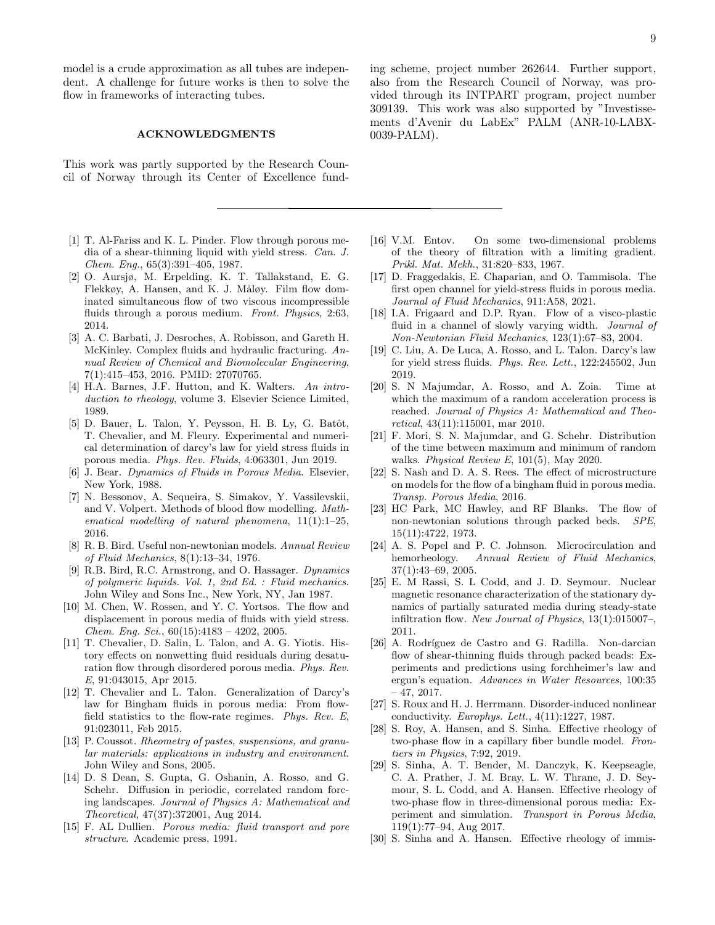model is a crude approximation as all tubes are independent. A challenge for future works is then to solve the flow in frameworks of interacting tubes.

#### ACKNOWLEDGMENTS

This work was partly supported by the Research Council of Norway through its Center of Excellence fund-

- <span id="page-8-5"></span>[1] T. Al-Fariss and K. L. Pinder. Flow through porous media of a shear-thinning liquid with yield stress. Can. J. Chem. Eng., 65(3):391–405, 1987.
- <span id="page-8-22"></span>[2] O. Aursjø, M. Erpelding, K. T. Tallakstand, E. G. Flekkøy, A. Hansen, and K. J. Måløy. Film flow dominated simultaneous flow of two viscous incompressible fluids through a porous medium. Front. Physics, 2:63, 2014.
- <span id="page-8-4"></span>[3] A. C. Barbati, J. Desroches, A. Robisson, and Gareth H. McKinley. Complex fluids and hydraulic fracturing. Annual Review of Chemical and Biomolecular Engineering, 7(1):415–453, 2016. PMID: 27070765.
- <span id="page-8-0"></span>[4] H.A. Barnes, J.F. Hutton, and K. Walters. An introduction to rheology, volume 3. Elsevier Science Limited, 1989.
- <span id="page-8-25"></span>[5] D. Bauer, L. Talon, Y. Peysson, H. B. Ly, G. Batôt, T. Chevalier, and M. Fleury. Experimental and numerical determination of darcy's law for yield stress fluids in porous media. Phys. Rev. Fluids, 4:063301, Jun 2019.
- <span id="page-8-15"></span>[6] J. Bear. Dynamics of Fluids in Porous Media. Elsevier, New York, 1988.
- <span id="page-8-2"></span>[7] N. Bessonov, A. Sequeira, S. Simakov, Y. Vassilevskii, and V. Volpert. Methods of blood flow modelling. Mathematical modelling of natural phenomena,  $11(1):1-25$ , 2016.
- <span id="page-8-23"></span>[8] R. B. Bird. Useful non-newtonian models. Annual Review of Fluid Mechanics, 8(1):13–34, 1976.
- <span id="page-8-24"></span>[9] R.B. Bird, R.C. Armstrong, and O. Hassager. Dynamics of polymeric liquids. Vol. 1, 2nd Ed. : Fluid mechanics. John Wiley and Sons Inc., New York, NY, Jan 1987.
- <span id="page-8-6"></span>[10] M. Chen, W. Rossen, and Y. C. Yortsos. The flow and displacement in porous media of fluids with yield stress. *Chem. Eng. Sci.*,  $60(15):4183 - 4202$ , 2005.
- <span id="page-8-17"></span>[11] T. Chevalier, D. Salin, L. Talon, and A. G. Yiotis. History effects on nonwetting fluid residuals during desaturation flow through disordered porous media. Phys. Rev. E, 91:043015, Apr 2015.
- <span id="page-8-13"></span>[12] T. Chevalier and L. Talon. Generalization of Darcy's law for Bingham fluids in porous media: From flowfield statistics to the flow-rate regimes. Phys. Rev. E, 91:023011, Feb 2015.
- <span id="page-8-1"></span>[13] P. Coussot. Rheometry of pastes, suspensions, and granular materials: applications in industry and environment. John Wiley and Sons, 2005.
- <span id="page-8-28"></span>[14] D. S Dean, S. Gupta, G. Oshanin, A. Rosso, and G. Schehr. Diffusion in periodic, correlated random forcing landscapes. Journal of Physics A: Mathematical and Theoretical, 47(37):372001, Aug 2014.
- <span id="page-8-16"></span>[15] F. AL Dullien. Porous media: fluid transport and pore structure. Academic press, 1991.

<span id="page-8-7"></span>[16] V.M. Entov. On some two-dimensional problems of the theory of filtration with a limiting gradient. Prikl. Mat. Mekh., 31:820–833, 1967.

ments d'Avenir du LabEx" PALM (ANR-10-LABX-

0039-PALM).

- <span id="page-8-11"></span>[17] D. Fraggedakis, E. Chaparian, and O. Tammisola. The first open channel for yield-stress fluids in porous media. Journal of Fluid Mechanics, 911:A58, 2021.
- <span id="page-8-26"></span>[18] I.A. Frigaard and D.P. Ryan. Flow of a visco-plastic fluid in a channel of slowly varying width. Journal of Non-Newtonian Fluid Mechanics, 123(1):67–83, 2004.
- <span id="page-8-8"></span>[19] C. Liu, A. De Luca, A. Rosso, and L. Talon. Darcy's law for yield stress fluids. Phys. Rev. Lett., 122:245502, Jun 2019.
- <span id="page-8-29"></span>[20] S. N Majumdar, A. Rosso, and A. Zoia. Time at which the maximum of a random acceleration process is reached. Journal of Physics A: Mathematical and Theoretical, 43(11):115001, mar 2010.
- <span id="page-8-27"></span>[21] F. Mori, S. N. Majumdar, and G. Schehr. Distribution of the time between maximum and minimum of random walks. Physical Review E, 101(5), May 2020.
- <span id="page-8-14"></span>[22] S. Nash and D. A. S. Rees. The effect of microstructure on models for the flow of a bingham fluid in porous media. Transp. Porous Media, 2016.
- <span id="page-8-9"></span>[23] HC Park, MC Hawley, and RF Blanks. The flow of non-newtonian solutions through packed beds. SPE, 15(11):4722, 1973.
- <span id="page-8-3"></span>[24] A. S. Popel and P. C. Johnson. Microcirculation and hemorheology. Annual Review of Fluid Mechanics, 37(1):43–69, 2005.
- <span id="page-8-18"></span>[25] E. M Rassi, S. L Codd, and J. D. Seymour. Nuclear magnetic resonance characterization of the stationary dynamics of partially saturated media during steady-state infiltration flow. New Journal of Physics, 13(1):015007–, 2011.
- <span id="page-8-10"></span>[26] A. Rodríguez de Castro and G. Radilla. Non-darcian flow of shear-thinning fluids through packed beads: Experiments and predictions using forchheimer's law and ergun's equation. Advances in Water Resources, 100:35 – 47, 2017.
- <span id="page-8-12"></span>[27] S. Roux and H. J. Herrmann. Disorder-induced nonlinear conductivity. Europhys. Lett., 4(11):1227, 1987.
- <span id="page-8-21"></span>[28] S. Roy, A. Hansen, and S. Sinha. Effective rheology of two-phase flow in a capillary fiber bundle model. Frontiers in Physics, 7:92, 2019.
- <span id="page-8-20"></span>[29] S. Sinha, A. T. Bender, M. Danczyk, K. Keepseagle, C. A. Prather, J. M. Bray, L. W. Thrane, J. D. Seymour, S. L. Codd, and A. Hansen. Effective rheology of two-phase flow in three-dimensional porous media: Experiment and simulation. Transport in Porous Media, 119(1):77–94, Aug 2017.
- <span id="page-8-19"></span>[30] S. Sinha and A. Hansen. Effective rheology of immis-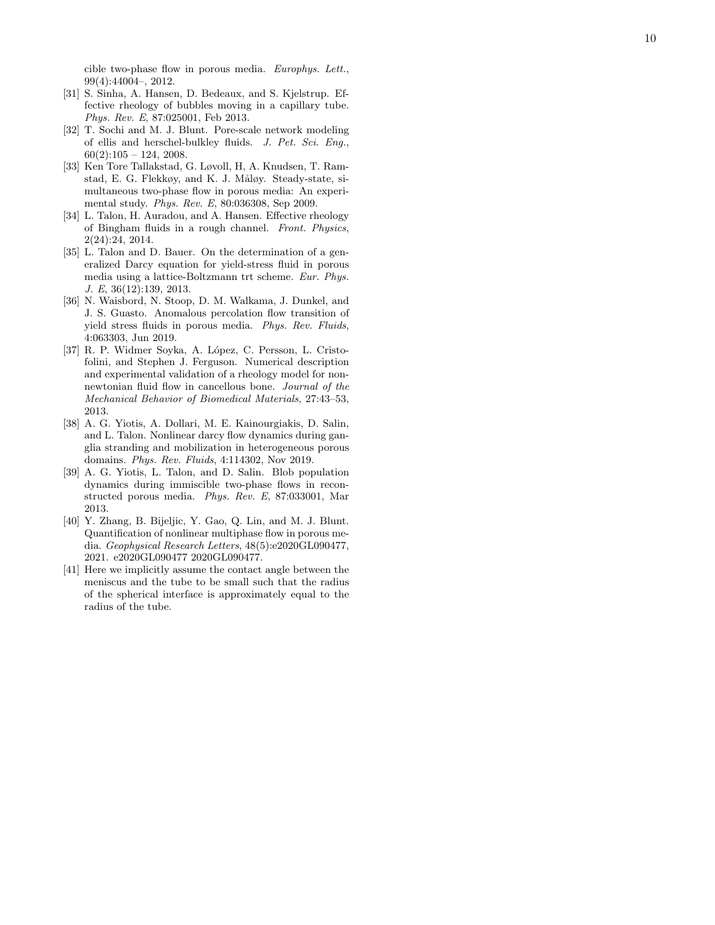cible two-phase flow in porous media. Europhys. Lett. , 99(4):44004–, 2012.

- <span id="page-9-10"></span>[31] S. Sinha, A. Hansen, D. Bedeaux, and S. Kjelstrup. Effective rheology of bubbles moving in a capillary tube. Phys. Rev. E, 87:025001, Feb 2013.
- <span id="page-9-1"></span>[32] T. Sochi and M. J. Blunt. Pore-scale network modeling of ellis and herschel-bulkley fluids. J. Pet. Sci. Eng.,  $60(2):105 - 124$ , 2008.
- <span id="page-9-4"></span>[33] Ken Tore Tallakstad, G. Løvoll, H, A. Knudsen, T. Ramstad, E. G. Flekkøy, and K. J. Måløy. Steady-state, simultaneous two-phase flow in porous media: An experimental study. Phys. Rev. E, 80:036308, Sep 2009.
- <span id="page-9-8"></span>[34] L. Talon, H. Auradou, and A. Hansen. Effective rheology of Bingham fluids in a rough channel. Front. Physics, 2(24):24, 2014.
- <span id="page-9-2"></span>[35] L. Talon and D. Bauer. On the determination of a generalized Darcy equation for yield-stress fluid in porous media using a lattice-Boltzmann trt scheme. Eur. Phys. J. E, 36(12):139, 2013.
- <span id="page-9-3"></span>[36] N. Waisbord, N. Stoop, D. M. Walkama, J. Dunkel, and J. S. Guasto. Anomalous percolation flow transition of yield stress fluids in porous media. Phys. Rev. Fluids, 4:063303, Jun 2019.
- <span id="page-9-0"></span>[37] R. P. Widmer Soyka, A. López, C. Persson, L. Cristofolini, and Stephen J. Ferguson. Numerical description and experimental validation of a rheology model for nonnewtonian fluid flow in cancellous bone. Journal of the Mechanical Behavior of Biomedical Materials, 27:43–53, 2013.
- <span id="page-9-7"></span>[38] A. G. Yiotis, A. Dollari, M. E. Kainourgiakis, D. Salin, and L. Talon. Nonlinear darcy flow dynamics during ganglia stranding and mobilization in heterogeneous porous domains. Phys. Rev. Fluids, 4:114302, Nov 2019.
- <span id="page-9-5"></span>[39] A. G. Yiotis, L. Talon, and D. Salin. Blob population dynamics during immiscible two-phase flows in reconstructed porous media. Phys. Rev. E, 87:033001, Mar 2013.
- <span id="page-9-6"></span>[40] Y. Zhang, B. Bijeljic, Y. Gao, Q. Lin, and M. J. Blunt. Quantification of nonlinear multiphase flow in porous media. Geophysical Research Letters, 48(5):e2020GL090477, 2021. e2020GL090477 2020GL090477.
- <span id="page-9-9"></span>[41] Here we implicitly assume the contact angle between the meniscus and the tube to be small such that the radius of the spherical interface is approximately equal to the radius of the tube.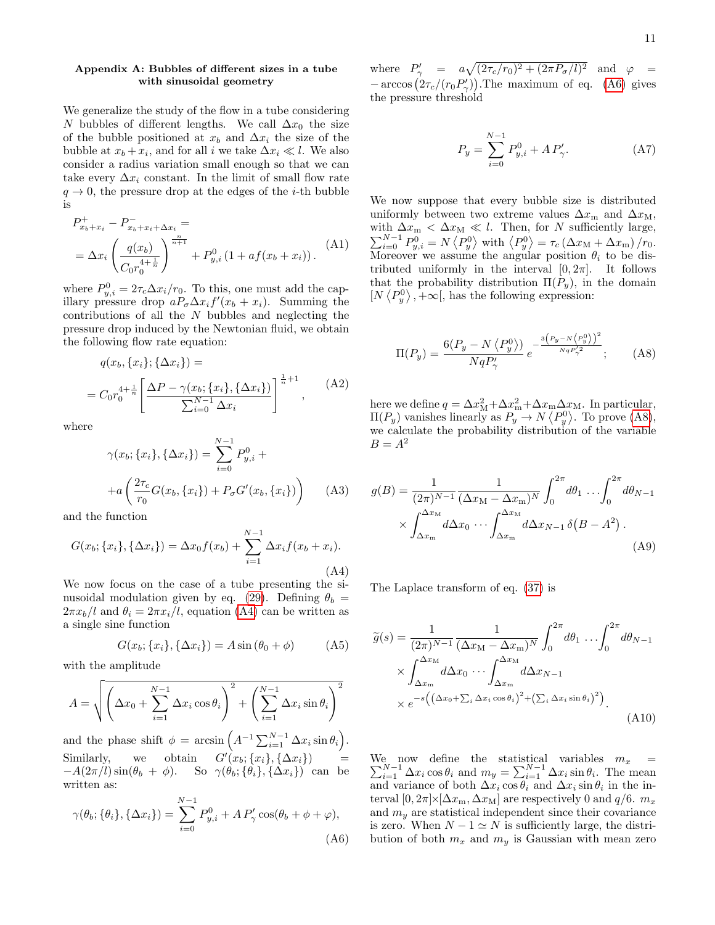## <span id="page-10-0"></span>Appendix A: Bubbles of different sizes in a tube with sinusoidal geometry

We generalize the study of the flow in a tube considering N bubbles of different lengths. We call  $\Delta x_0$  the size of the bubble positioned at  $x_b$  and  $\Delta x_i$  the size of the bubble at  $x_b + x_i$ , and for all i we take  $\Delta x_i \ll l$ . We also consider a radius variation small enough so that we can take every  $\Delta x_i$  constant. In the limit of small flow rate  $q \rightarrow 0$ , the pressure drop at the edges of the *i*-th bubble is

$$
P_{x_b+x_i}^+ - P_{x_b+x_i+\Delta x_i}^- =
$$
  
=  $\Delta x_i \left( \frac{q(x_b)}{C_0 r_0^{4+\frac{1}{n}}} \right)^{\frac{n}{n+1}} + P_{y,i}^0 (1 + af(x_b + x_i)).$  (A1)

where  $P_{y,i}^0 = 2\tau_c \Delta x_i/r_0$ . To this, one must add the capillary pressure drop  $aP_{\sigma}\Delta x_i f'(x_b + x_i)$ . Summing the contributions of all the  $N$  bubbles and neglecting the pressure drop induced by the Newtonian fluid, we obtain the following flow rate equation:

$$
q(x_b, \{x_i\}; \{\Delta x_i\}) =
$$
  
=  $C_0 r_0^{4 + \frac{1}{n}} \left[ \frac{\Delta P - \gamma(x_b; \{x_i\}, \{\Delta x_i\})}{\sum_{i=0}^{N-1} \Delta x_i} \right]^{\frac{1}{n} + 1}$ , (A2)

where

$$
\gamma(x_b; \{x_i\}, \{\Delta x_i\}) = \sum_{i=0}^{N-1} P_{y,i}^0 +
$$

$$
+ a \left( \frac{2\tau_c}{r_0} G(x_b, \{x_i\}) + P_\sigma G'(x_b, \{x_i\}) \right) \tag{A3}
$$

and the function

<span id="page-10-1"></span>
$$
G(x_b; \{x_i\}, \{\Delta x_i\}) = \Delta x_0 f(x_b) + \sum_{i=1}^{N-1} \Delta x_i f(x_b + x_i).
$$
\n(A4)

We now focus on the case of a tube presenting the si-nusoidal modulation given by eq. [\(29\)](#page-4-4). Defining  $\theta_b =$  $2\pi x_b/l$  and  $\theta_i = 2\pi x_i/l$ , equation [\(A4\)](#page-10-1) can be written as a single sine function

$$
G(x_b; \{x_i\}, \{\Delta x_i\}) = A \sin (\theta_0 + \phi)
$$
 (A5)

with the amplitude

$$
A = \sqrt{\left(\Delta x_0 + \sum_{i=1}^{N-1} \Delta x_i \cos \theta_i\right)^2 + \left(\sum_{i=1}^{N-1} \Delta x_i \sin \theta_i\right)^2}
$$

and the phase shift  $\phi = \arcsin\left(A^{-1}\sum_{i=1}^{N-1}\Delta x_i\sin\theta_i\right)$ . Similarly, we obtain  $G'(x_b; \{x_i\}, \{\Delta x_i\})$  =  $-A(2\pi/l)\sin(\theta_b + \phi)$ . So  $\gamma(\theta_b;\{\theta_i\},\{\Delta x_i\})$  can be written as:

<span id="page-10-2"></span>
$$
\gamma(\theta_b; \{\theta_i\}, \{\Delta x_i\}) = \sum_{i=0}^{N-1} P_{y,i}^0 + A P_{\gamma}^{\prime} \cos(\theta_b + \phi + \varphi),
$$
\n(A6)

where  $P'_{\gamma} = a\sqrt{(2\tau_c/r_0)^2 + (2\pi P_{\sigma}/l)^2}$  and  $\varphi =$  $-\arccos(2\tau_c/(r_0P_\gamma))$ . The maximum of eq. [\(A6\)](#page-10-2) gives the pressure threshold

$$
P_y = \sum_{i=0}^{N-1} P_{y,i}^0 + A P_{\gamma}^{\prime}.
$$
 (A7)

We now suppose that every bubble size is distributed uniformly between two extreme values  $\Delta x_{\text{m}}$  and  $\Delta x_{\text{M}}$ , with  $\Delta x_m < \Delta x_M \ll l$ . Then, for N sufficiently large,  $\sum_{i=0}^{N-1} P_{y,i}^0 = N \langle P_y^0 \rangle$  with  $\langle P_y^0 \rangle = \tau_c (\Delta x_M + \Delta x_m) / r_0$ . Moreover we assume the angular position  $\theta_i$  to be distributed uniformly in the interval  $[0, 2\pi]$ . It follows that the probability distribution  $\Pi(P_u)$ , in the domain  $[N \langle P_y^0 \rangle, +\infty]$ , has the following expression:

<span id="page-10-3"></span>
$$
\Pi(P_y) = \frac{6(P_y - N\langle P_y^0 \rangle)}{NqP_\gamma'} e^{-\frac{3\left(P_y - N\langle P_y^0 \rangle\right)^2}{NqP_\gamma'^2}};
$$
 (A8)

here we define  $q = \Delta x_{\text{M}}^2 + \Delta x_{\text{m}}^2 + \Delta x_{\text{m}} \Delta x_{\text{M}}$ . In particular,  $\Pi(P_y)$  vanishes linearly as  $P_y \to N \langle P_y^0 \rangle$ . To prove [\(A8\)](#page-10-3), we calculate the probability distribution of the variable  $B=A^2$ 

$$
g(B) = \frac{1}{(2\pi)^{N-1}} \frac{1}{(\Delta x_M - \Delta x_m)^N} \int_0^{2\pi} d\theta_1 \dots \int_0^{2\pi} d\theta_{N-1}
$$

$$
\times \int_{\Delta x_m}^{\Delta x_M} d\Delta x_0 \dots \int_{\Delta x_m}^{\Delta x_M} d\Delta x_{N-1} \delta(B - A^2) .
$$
(A9)

The Laplace transform of eq. [\(37\)](#page-5-0) is

<span id="page-10-4"></span>
$$
\widetilde{g}(s) = \frac{1}{(2\pi)^{N-1}} \frac{1}{(\Delta x_M - \Delta x_m)^N} \int_0^{2\pi} d\theta_1 \dots \int_0^{2\pi} d\theta_{N-1}
$$

$$
\times \int_{\Delta x_m}^{\Delta x_M} d\Delta x_0 \dots \int_{\Delta x_m}^{\Delta x_M} d\Delta x_{N-1}
$$

$$
\times e^{-s\left(\left(\Delta x_0 + \sum_i \Delta x_i \cos \theta_i\right)^2 + \left(\sum_i \Delta x_i \sin \theta_i\right)^2\right)}.
$$
(A10)

We now define the statistical variables  $\sum$ e now define the statistical variables  $m_x = N-1 \Delta x_i \cos \theta_i$  and  $m_y = \sum_{i=1}^{N-1} \Delta x_i \sin \theta_i$ . The mean and variance of both  $\Delta x_i \cos \theta_i$  and  $\Delta x_i \sin \theta_i$  in the interval  $[0, 2\pi] \times [\Delta x_{\rm m}, \Delta x_{\rm M}]$  are respectively 0 and  $q/6$ .  $m_x$ and  $m<sub>y</sub>$  are statistical independent since their covariance is zero. When  $N - 1 \simeq N$  is sufficiently large, the distribution of both  $m_x$  and  $m_y$  is Gaussian with mean zero